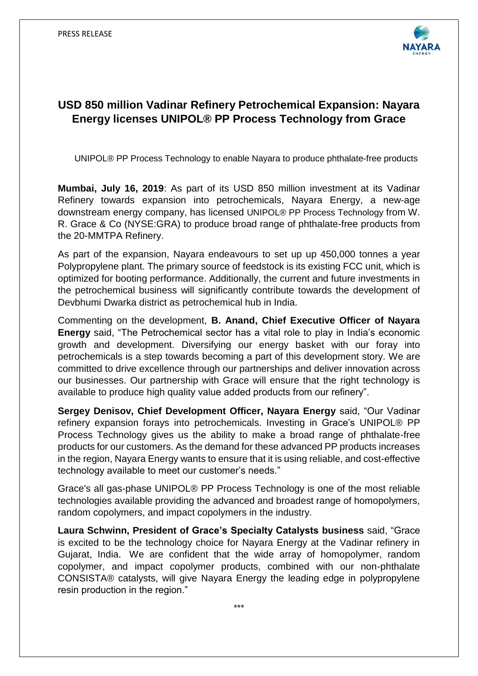

## **USD 850 million Vadinar Refinery Petrochemical Expansion: Nayara Energy licenses UNIPOL® PP Process Technology from Grace**

UNIPOL® PP Process Technology to enable Nayara to produce phthalate-free products

**Mumbai, July 16, 2019**: As part of its USD 850 million investment at its Vadinar Refinery towards expansion into petrochemicals, Nayara Energy, a new-age downstream energy company, has licensed UNIPOL® PP Process Technology from W. R. Grace & Co (NYSE:GRA) to produce broad range of phthalate-free products from the 20-MMTPA Refinery.

As part of the expansion, Nayara endeavours to set up up 450,000 tonnes a year Polypropylene plant. The primary source of feedstock is its existing FCC unit, which is optimized for booting performance. Additionally, the current and future investments in the petrochemical business will significantly contribute towards the development of Devbhumi Dwarka district as petrochemical hub in India.

Commenting on the development, **B. Anand, Chief Executive Officer of Nayara Energy** said, "The Petrochemical sector has a vital role to play in India's economic growth and development. Diversifying our energy basket with our foray into petrochemicals is a step towards becoming a part of this development story. We are committed to drive excellence through our partnerships and deliver innovation across our businesses. Our partnership with Grace will ensure that the right technology is available to produce high quality value added products from our refinery".

**Sergey Denisov, Chief Development Officer, Nayara Energy** said, "Our Vadinar refinery expansion forays into petrochemicals. Investing in Grace's UNIPOL® PP Process Technology gives us the ability to make a broad range of phthalate-free products for our customers. As the demand for these advanced PP products increases in the region, Nayara Energy wants to ensure that it is using reliable, and cost-effective technology available to meet our customer's needs."

Grace's all gas-phase UNIPOL® PP Process Technology is one of the most reliable technologies available providing the advanced and broadest range of homopolymers, random copolymers, and impact copolymers in the industry.

**Laura Schwinn, President of Grace's Specialty Catalysts business** said, "Grace is excited to be the technology choice for Nayara Energy at the Vadinar refinery in Gujarat, India. We are confident that the wide array of homopolymer, random copolymer, and impact copolymer products, combined with our non-phthalate CONSISTA® catalysts, will give Nayara Energy the leading edge in polypropylene resin production in the region."